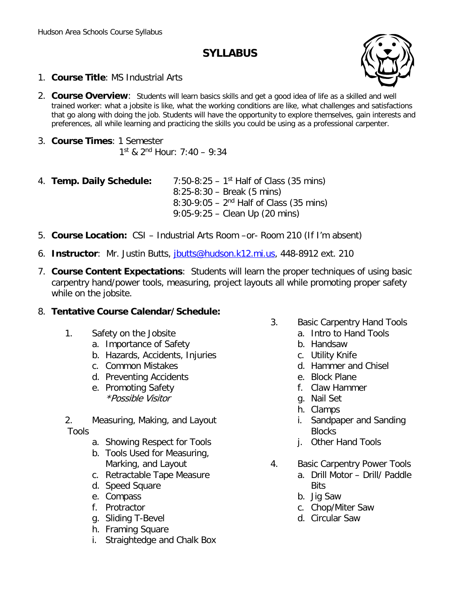# **SYLLABUS**



- 1. **Course Title**: MS Industrial Arts
- 2. **Course Overview**: Students will learn basics skills and get a good idea of life as a skilled and well trained worker: what a jobsite is like, what the working conditions are like, what challenges and satisfactions that go along with doing the job. Students will have the opportunity to explore themselves, gain interests and preferences, all while learning and practicing the skills you could be using as a professional carpenter.
- 3. **Course Times**: 1 Semester  $1^{\text{st}}$  &  $2^{\text{nd}}$  Hour: 7:40 – 9:34
- 4. **Temp. Daily Schedule:** 7:50-8:25 1st Half of Class (35 mins) 8:25-8:30 – Break (5 mins)  $8:30-9:05 - 2^{nd}$  Half of Class (35 mins) 9:05-9:25 – Clean Up (20 mins)
- 5. **Course Location:** CSI Industrial Arts Room –or- Room 210 (If I'm absent)
- 6. **Instructor**: Mr. Justin Butts, [jbutts@hudson.k12.mi.us,](mailto:jbutts@hudson.k12.mi.us) 448-8912 ext. 210
- 7. **Course Content Expectations**: Students will learn the proper techniques of using basic carpentry hand/power tools, measuring, project layouts all while promoting proper safety while on the jobsite.

# 8. **Tentative Course Calendar/Schedule:**

- 1. Safety on the Jobsite
	- a. Importance of Safety
		- b. Hazards, Accidents, Injuries
	- c. Common Mistakes
	- d. Preventing Accidents
	- e. Promoting Safety \*Possible Visitor
- 2. Measuring, Making, and Layout Tools
	- a. Showing Respect for Tools
	- b. Tools Used for Measuring, Marking, and Layout
	- c. Retractable Tape Measure
	- d. Speed Square
	- e. Compass
	- f. Protractor
	- g. Sliding T-Bevel
	- h. Framing Square
	- i. Straightedge and Chalk Box
- 3. Basic Carpentry Hand Tools
	- a. Intro to Hand Tools
	- b. Handsaw
	- c. Utility Knife
	- d. Hammer and Chisel
	- e. Block Plane
	- f. Claw Hammer
	- g. Nail Set
	- h. Clamps
	- i. Sandpaper and Sanding **Blocks**
	- j. Other Hand Tools
- 4. Basic Carpentry Power Tools
	- a. Drill Motor Drill/ Paddle Bits
	- b. Jig Saw
	- c. Chop/Miter Saw
	- d. Circular Saw